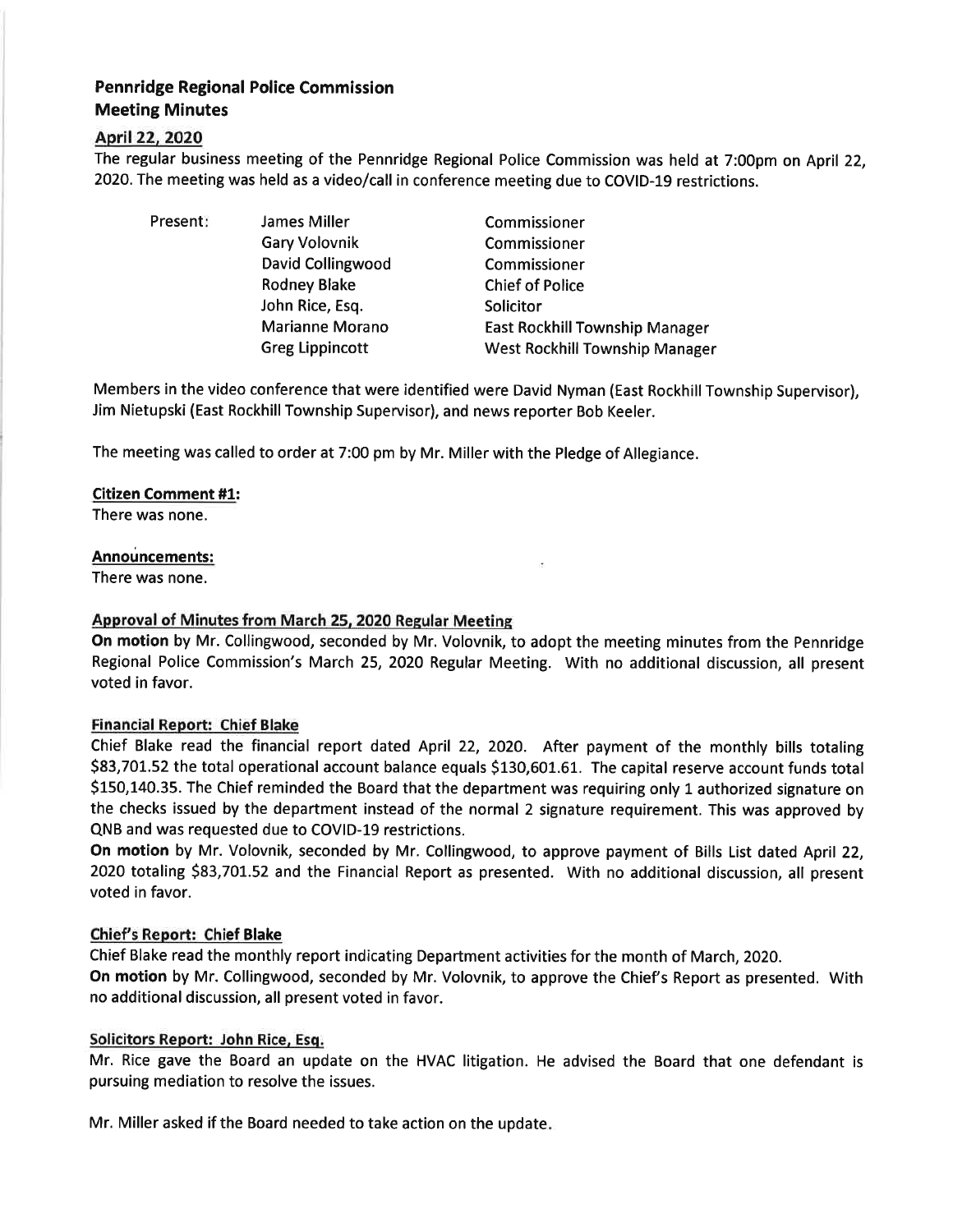# Pennridge Regional Police Commission Meeting Minutes

## April22,2O2O

The regular business meeting of the Pennridge Regional Police Commission was held at 7:00pm on April 22, 2020. The meeting was held as a video/call in conference meeting due to COVID-L9 restrictions.

- 
- Present: James Miller Gary Volovnik David Collingwood Rodney Blake John Rice, Esq. Marianne Morano Greg Lippincott

Commissioner Commissioner Commissioner Chief of Police Solicitor East Rockhill Township Manager West Rockhill Township Manager

Members in the video conference that were identified were David Nyman (East Rockhill Township Supervisor), Jim Nietupski (East Rockhill Township Supervisor), and news reporter Bob Keeler.

The meeting was called to order at 7:00 pm by Mr. Miller with the Pledge of Allegiance.

## Citizen Comment #1:

There was none.

## Announcements:

There was none.

## Approval of Minutes from March 25, 2020 Reeular Meetine

On motion by Mr. Collingwood, seconded by Mr. Volovnik, to adopt the meeting minutes from the Pennridge Regional Police Commission's March 25, 2020 Regular Meeting. With no additional discussion, all present voted in favor.

## Financial Report: Chief Blake

Chief Blake read the financial report dated April 22, 2O2O. After payment of the monthly bills totaling \$83,701.52 the total operational account balance equals \$130,601.61. The capital reserve account funds total 5150,140.35. The Chief reminded the Board that the department was requiring only 1 authorized signature on the checks issued by the department instead of the normal 2 signature requirement. This was approved by QNB and was requested due to COVID-19 restrictions.

On motion by Mr. Volovnik, seconded by Mr. Collingwood, to approve payment of Bills List dated April 22, 2020 totaling 583,701.52 and the Financial Report as presented. With no additional discussion, all present voted in favor.

## Chief's Report: Chief Blake

Chief Blake read the monthly report indicating Department activities for the month of March, 2020. On motion by Mr. Collingwood, seconded by Mr. Volovnik, to approve the Chief's Report as presented. With no additional discussion, all present voted in favor.

## Solicitors Report: John Rice, Esq.

Mr. Rice gave the Board an update on the HVAC litigation. He advised the Board that one defendant is pursuing mediation to resolve the issues.

Mr. Miller asked if the Board needed to take action on the update